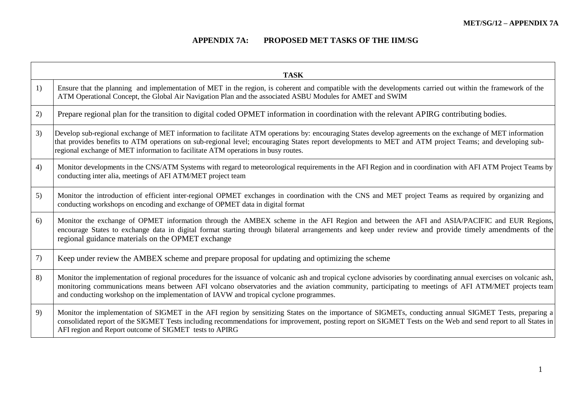and the control of the control of the control of the control of the control of the control of the control of the

## **APPENDIX 7A: PROPOSED MET TASKS OF THE IIM/SG**

H

| <b>TASK</b> |                                                                                                                                                                                                                                                                                                                                                                                                                        |
|-------------|------------------------------------------------------------------------------------------------------------------------------------------------------------------------------------------------------------------------------------------------------------------------------------------------------------------------------------------------------------------------------------------------------------------------|
| 1)          | Ensure that the planning and implementation of MET in the region, is coherent and compatible with the developments carried out within the framework of the<br>ATM Operational Concept, the Global Air Navigation Plan and the associated ASBU Modules for AMET and SWIM                                                                                                                                                |
| 2)          | Prepare regional plan for the transition to digital coded OPMET information in coordination with the relevant APIRG contributing bodies.                                                                                                                                                                                                                                                                               |
| 3)          | Develop sub-regional exchange of MET information to facilitate ATM operations by: encouraging States develop agreements on the exchange of MET information<br>that provides benefits to ATM operations on sub-regional level; encouraging States report developments to MET and ATM project Teams; and developing sub-<br>regional exchange of MET information to facilitate ATM operations in busy routes.            |
| 4)          | Monitor developments in the CNS/ATM Systems with regard to meteorological requirements in the AFI Region and in coordination with AFI ATM Project Teams by<br>conducting inter alia, meetings of AFI ATM/MET project team                                                                                                                                                                                              |
| 5)          | Monitor the introduction of efficient inter-regional OPMET exchanges in coordination with the CNS and MET project Teams as required by organizing and<br>conducting workshops on encoding and exchange of OPMET data in digital format                                                                                                                                                                                 |
| 6)          | Monitor the exchange of OPMET information through the AMBEX scheme in the AFI Region and between the AFI and ASIA/PACIFIC and EUR Regions,<br>encourage States to exchange data in digital format starting through bilateral arrangements and keep under review and provide timely amendments of the<br>regional guidance materials on the OPMET exchange                                                              |
| 7)          | Keep under review the AMBEX scheme and prepare proposal for updating and optimizing the scheme                                                                                                                                                                                                                                                                                                                         |
| 8)          | Monitor the implementation of regional procedures for the issuance of volcanic ash and tropical cyclone advisories by coordinating annual exercises on volcanic ash,<br>monitoring communications means between AFI volcano observatories and the aviation community, participating to meetings of AFI ATM/MET projects team<br>and conducting workshop on the implementation of IAVW and tropical cyclone programmes. |
| 9)          | Monitor the implementation of SIGMET in the AFI region by sensitizing States on the importance of SIGMETs, conducting annual SIGMET Tests, preparing a<br>consolidated report of the SIGMET Tests including recommendations for improvement, posting report on SIGMET Tests on the Web and send report to all States in<br>AFI region and Report outcome of SIGMET tests to APIRG                                      |